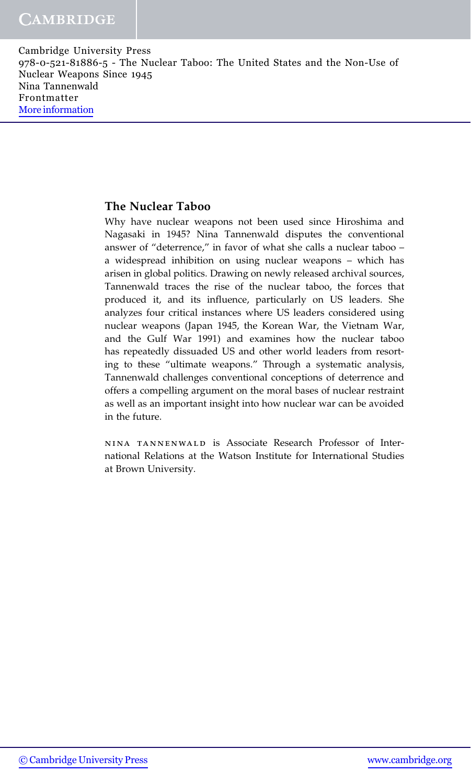### The Nuclear Taboo

Why have nuclear weapons not been used since Hiroshima and Nagasaki in 1945? Nina Tannenwald disputes the conventional answer of "deterrence," in favor of what she calls a nuclear taboo – a widespread inhibition on using nuclear weapons – which has arisen in global politics. Drawing on newly released archival sources, Tannenwald traces the rise of the nuclear taboo, the forces that produced it, and its influence, particularly on US leaders. She analyzes four critical instances where US leaders considered using nuclear weapons (Japan 1945, the Korean War, the Vietnam War, and the Gulf War 1991) and examines how the nuclear taboo has repeatedly dissuaded US and other world leaders from resorting to these "ultimate weapons." Through a systematic analysis, Tannenwald challenges conventional conceptions of deterrence and offers a compelling argument on the moral bases of nuclear restraint as well as an important insight into how nuclear war can be avoided in the future.

nina tannenwald is Associate Research Professor of International Relations at the Watson Institute for International Studies at Brown University.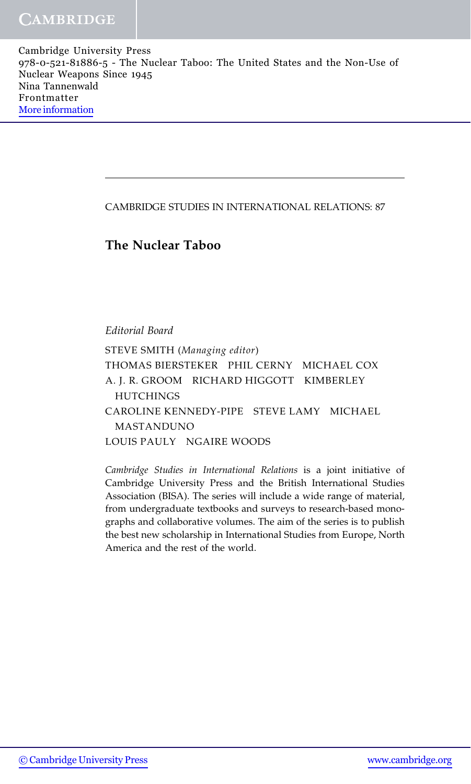CAMBRIDGE STUDIES IN INTERNATIONAL RELATIONS: 87

The Nuclear Taboo

Editorial Board

STEVE SMITH (Managing editor) THOMAS BIERSTEKER PHIL CERNY MICHAEL COX A. J. R. GROOM RICHARD HIGGOTT KIMBERLEY **HUTCHINGS** CAROLINE KENNEDY-PIPE STEVE LAMY MICHAEL MASTANDUNO LOUIS PAULY NGAIRE WOODS

Cambridge Studies in International Relations is a joint initiative of Cambridge University Press and the British International Studies Association (BISA). The series will include a wide range of material, from undergraduate textbooks and surveys to research-based monographs and collaborative volumes. The aim of the series is to publish the best new scholarship in International Studies from Europe, North America and the rest of the world.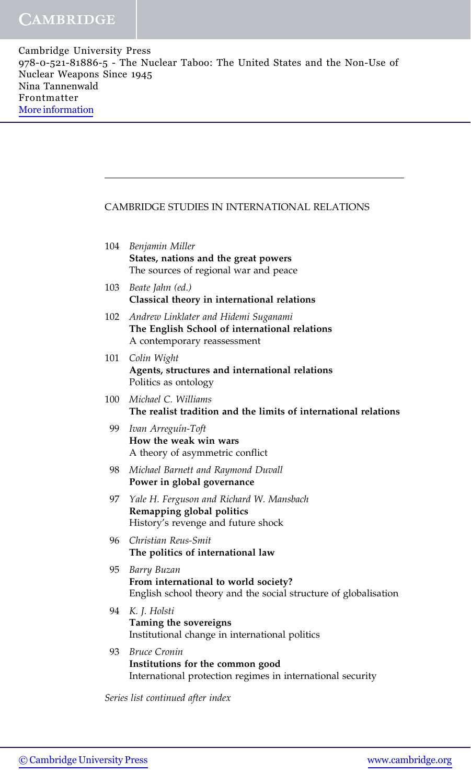### CAMBRIDGE STUDIES IN INTERNATIONAL RELATIONS

- 104 Benjamin Miller States, nations and the great powers The sources of regional war and peace
- 103 Beate Jahn (ed.) Classical theory in international relations
- 102 Andrew Linklater and Hidemi Suganami The English School of international relations A contemporary reassessment
- 101 Colin Wight Agents, structures and international relations Politics as ontology
- 100 Michael C. Williams The realist tradition and the limits of international relations
- 99 Ivan Arreguín-Toft How the weak win wars A theory of asymmetric conflict
- 98 Michael Barnett and Raymond Duvall Power in global governance
- 97 Yale H. Ferguson and Richard W. Mansbach Remapping global politics History's revenge and future shock
- 96 Christian Reus-Smit The politics of international law
- 95 Barry Buzan From international to world society? English school theory and the social structure of globalisation
- 94 K. J. Holsti Taming the sovereigns Institutional change in international politics
- 93 Bruce Cronin Institutions for the common good International protection regimes in international security

Series list continued after index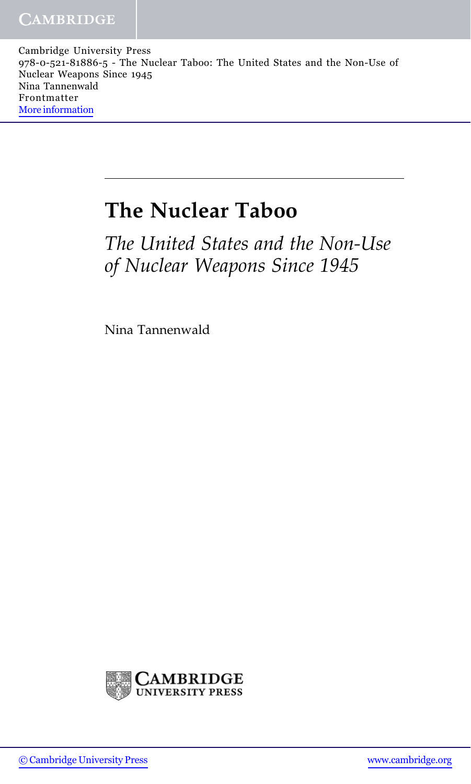# The Nuclear Taboo

The United States and the Non-Use of Nuclear Weapons Since 1945

Nina Tannenwald

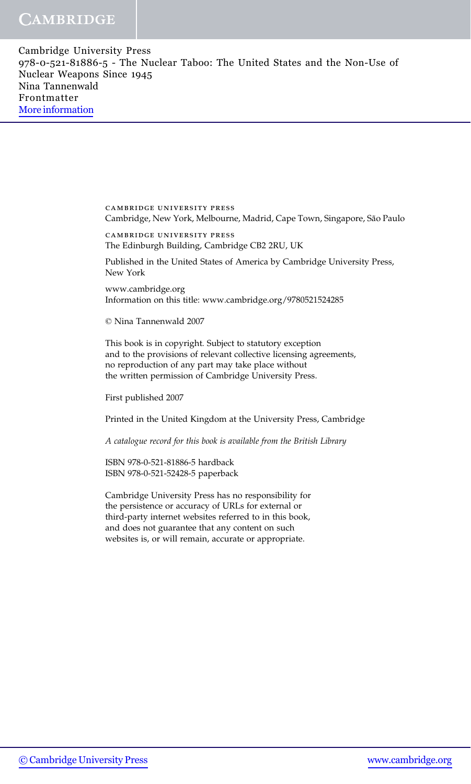> cambridge university press Cambridge, New York, Melbourne, Madrid, Cape Town, Singapore, São Paulo

cambridge university press The Edinburgh Building, Cambridge CB2 2RU, UK

Published in the United States of America by Cambridge University Press, New York

www.cambridge.org Information on this title: www.cambridge.org/9780521524285

© Nina Tannenwald 2007

This book is in copyright. Subject to statutory exception and to the provisions of relevant collective licensing agreements, no reproduction of any part may take place without the written permission of Cambridge University Press.

First published 2007

Printed in the United Kingdom at the University Press, Cambridge

A catalogue record for this book is available from the British Library

ISBN 978-0-521-81886-5 hardback ISBN 978-0-521-52428-5 paperback

Cambridge University Press has no responsibility for the persistence or accuracy of URLs for external or third-party internet websites referred to in this book, and does not guarantee that any content on such websites is, or will remain, accurate or appropriate.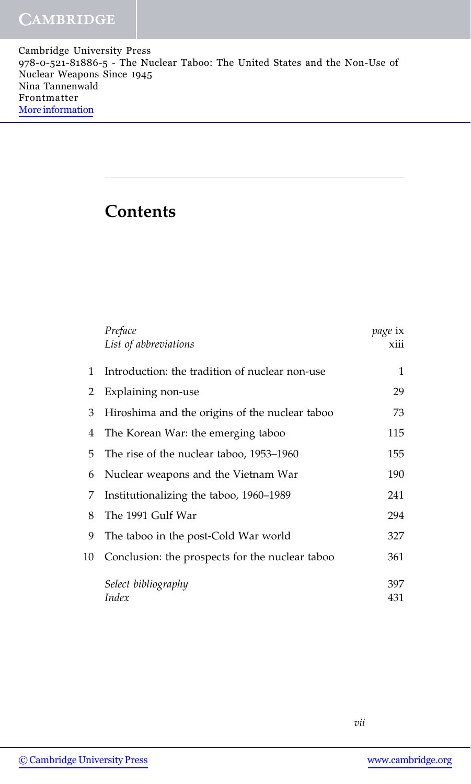## **Contents**

| Preface<br>List of abbreviations                | <i>page</i> ix<br>xiii |
|-------------------------------------------------|------------------------|
| Introduction: the tradition of nuclear non-use  | 1                      |
| Explaining non-use                              | 29                     |
| Hiroshima and the origins of the nuclear taboo  | 73                     |
| The Korean War: the emerging taboo              | 115                    |
| The rise of the nuclear taboo, 1953–1960        | 155                    |
| Nuclear weapons and the Vietnam War             | 190                    |
| Institutionalizing the taboo, 1960-1989         | 241                    |
| The 1991 Gulf War                               | 294                    |
| The taboo in the post-Cold War world            | 327                    |
| Conclusion: the prospects for the nuclear taboo | 361                    |
| Select bibliography<br>Index                    | 397<br>431             |
|                                                 |                        |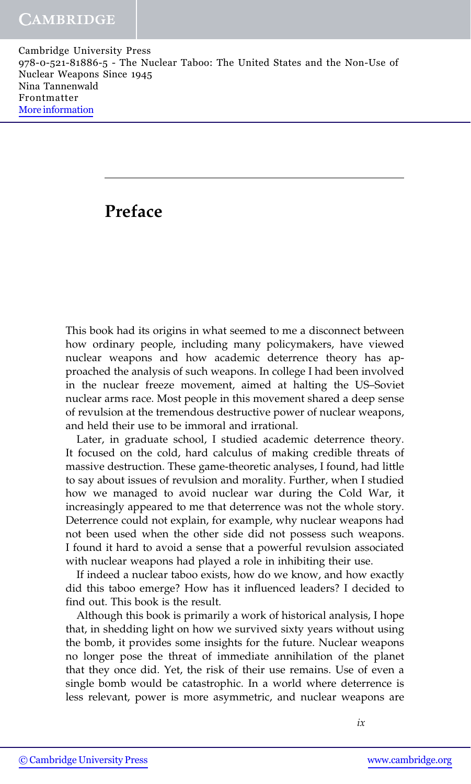### Preface

This book had its origins in what seemed to me a disconnect between how ordinary people, including many policymakers, have viewed nuclear weapons and how academic deterrence theory has approached the analysis of such weapons. In college I had been involved in the nuclear freeze movement, aimed at halting the US–Soviet nuclear arms race. Most people in this movement shared a deep sense of revulsion at the tremendous destructive power of nuclear weapons, and held their use to be immoral and irrational.

Later, in graduate school, I studied academic deterrence theory. It focused on the cold, hard calculus of making credible threats of massive destruction. These game-theoretic analyses, I found, had little to say about issues of revulsion and morality. Further, when I studied how we managed to avoid nuclear war during the Cold War, it increasingly appeared to me that deterrence was not the whole story. Deterrence could not explain, for example, why nuclear weapons had not been used when the other side did not possess such weapons. I found it hard to avoid a sense that a powerful revulsion associated with nuclear weapons had played a role in inhibiting their use.

If indeed a nuclear taboo exists, how do we know, and how exactly did this taboo emerge? How has it influenced leaders? I decided to find out. This book is the result.

Although this book is primarily a work of historical analysis, I hope that, in shedding light on how we survived sixty years without using the bomb, it provides some insights for the future. Nuclear weapons no longer pose the threat of immediate annihilation of the planet that they once did. Yet, the risk of their use remains. Use of even a single bomb would be catastrophic. In a world where deterrence is less relevant, power is more asymmetric, and nuclear weapons are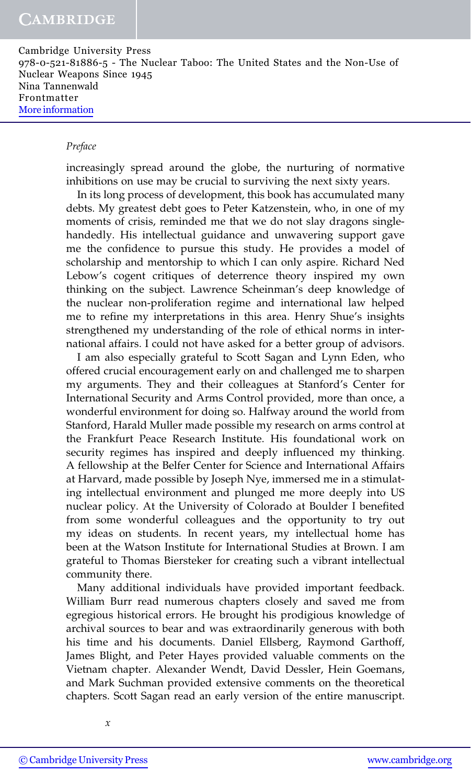#### Preface

increasingly spread around the globe, the nurturing of normative inhibitions on use may be crucial to surviving the next sixty years.

In its long process of development, this book has accumulated many debts. My greatest debt goes to Peter Katzenstein, who, in one of my moments of crisis, reminded me that we do not slay dragons singlehandedly. His intellectual guidance and unwavering support gave me the confidence to pursue this study. He provides a model of scholarship and mentorship to which I can only aspire. Richard Ned Lebow's cogent critiques of deterrence theory inspired my own thinking on the subject. Lawrence Scheinman's deep knowledge of the nuclear non-proliferation regime and international law helped me to refine my interpretations in this area. Henry Shue's insights strengthened my understanding of the role of ethical norms in international affairs. I could not have asked for a better group of advisors.

I am also especially grateful to Scott Sagan and Lynn Eden, who offered crucial encouragement early on and challenged me to sharpen my arguments. They and their colleagues at Stanford's Center for International Security and Arms Control provided, more than once, a wonderful environment for doing so. Halfway around the world from Stanford, Harald Muller made possible my research on arms control at the Frankfurt Peace Research Institute. His foundational work on security regimes has inspired and deeply influenced my thinking. A fellowship at the Belfer Center for Science and International Affairs at Harvard, made possible by Joseph Nye, immersed me in a stimulating intellectual environment and plunged me more deeply into US nuclear policy. At the University of Colorado at Boulder I benefited from some wonderful colleagues and the opportunity to try out my ideas on students. In recent years, my intellectual home has been at the Watson Institute for International Studies at Brown. I am grateful to Thomas Biersteker for creating such a vibrant intellectual community there.

Many additional individuals have provided important feedback. William Burr read numerous chapters closely and saved me from egregious historical errors. He brought his prodigious knowledge of archival sources to bear and was extraordinarily generous with both his time and his documents. Daniel Ellsberg, Raymond Garthoff, James Blight, and Peter Hayes provided valuable comments on the Vietnam chapter. Alexander Wendt, David Dessler, Hein Goemans, and Mark Suchman provided extensive comments on the theoretical chapters. Scott Sagan read an early version of the entire manuscript.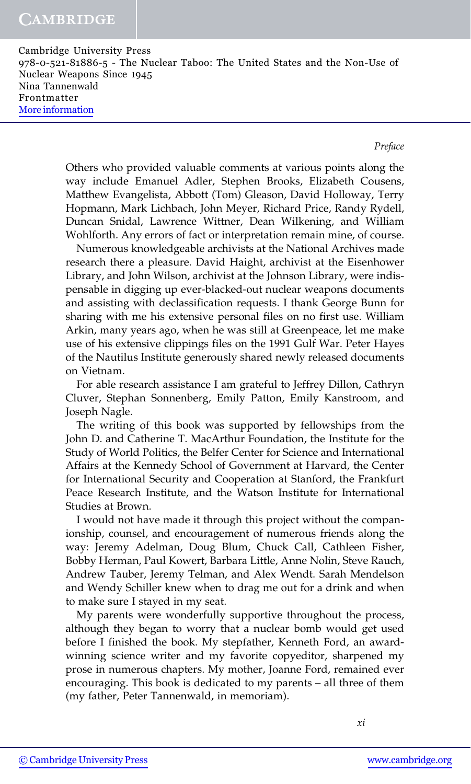Preface

Others who provided valuable comments at various points along the way include Emanuel Adler, Stephen Brooks, Elizabeth Cousens, Matthew Evangelista, Abbott (Tom) Gleason, David Holloway, Terry Hopmann, Mark Lichbach, John Meyer, Richard Price, Randy Rydell, Duncan Snidal, Lawrence Wittner, Dean Wilkening, and William Wohlforth. Any errors of fact or interpretation remain mine, of course.

Numerous knowledgeable archivists at the National Archives made research there a pleasure. David Haight, archivist at the Eisenhower Library, and John Wilson, archivist at the Johnson Library, were indispensable in digging up ever-blacked-out nuclear weapons documents and assisting with declassification requests. I thank George Bunn for sharing with me his extensive personal files on no first use. William Arkin, many years ago, when he was still at Greenpeace, let me make use of his extensive clippings files on the 1991 Gulf War. Peter Hayes of the Nautilus Institute generously shared newly released documents on Vietnam.

For able research assistance I am grateful to Jeffrey Dillon, Cathryn Cluver, Stephan Sonnenberg, Emily Patton, Emily Kanstroom, and Joseph Nagle.

The writing of this book was supported by fellowships from the John D. and Catherine T. MacArthur Foundation, the Institute for the Study of World Politics, the Belfer Center for Science and International Affairs at the Kennedy School of Government at Harvard, the Center for International Security and Cooperation at Stanford, the Frankfurt Peace Research Institute, and the Watson Institute for International Studies at Brown.

I would not have made it through this project without the companionship, counsel, and encouragement of numerous friends along the way: Jeremy Adelman, Doug Blum, Chuck Call, Cathleen Fisher, Bobby Herman, Paul Kowert, Barbara Little, Anne Nolin, Steve Rauch, Andrew Tauber, Jeremy Telman, and Alex Wendt. Sarah Mendelson and Wendy Schiller knew when to drag me out for a drink and when to make sure I stayed in my seat.

My parents were wonderfully supportive throughout the process, although they began to worry that a nuclear bomb would get used before I finished the book. My stepfather, Kenneth Ford, an awardwinning science writer and my favorite copyeditor, sharpened my prose in numerous chapters. My mother, Joanne Ford, remained ever encouraging. This book is dedicated to my parents – all three of them (my father, Peter Tannenwald, in memoriam).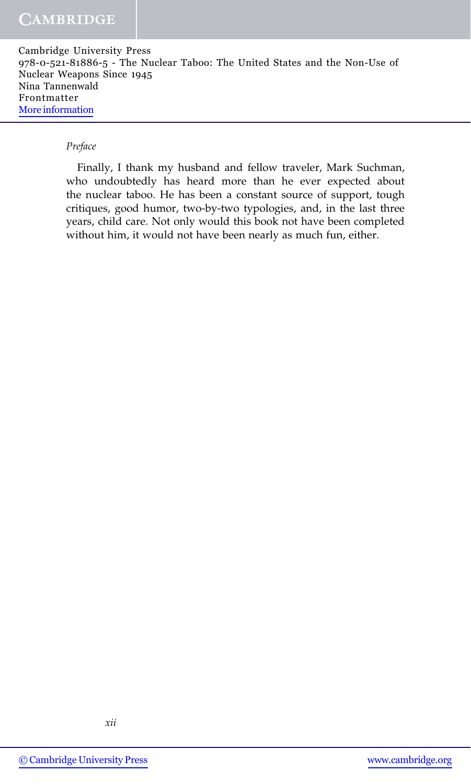#### Preface

Finally, I thank my husband and fellow traveler, Mark Suchman, who undoubtedly has heard more than he ever expected about the nuclear taboo. He has been a constant source of support, tough critiques, good humor, two-by-two typologies, and, in the last three years, child care. Not only would this book not have been completed without him, it would not have been nearly as much fun, either.